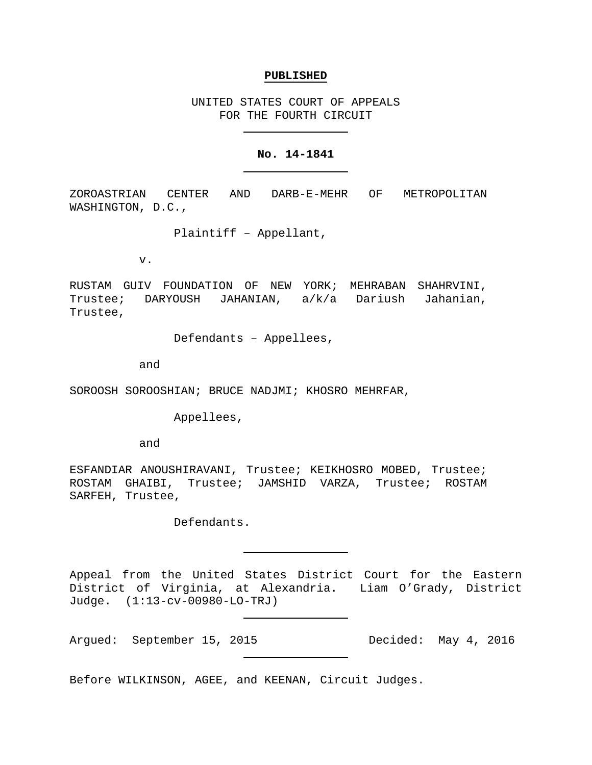#### **PUBLISHED**

UNITED STATES COURT OF APPEALS FOR THE FOURTH CIRCUIT

#### **No. 14-1841**

ZOROASTRIAN CENTER AND DARB-E-MEHR OF METROPOLITAN WASHINGTON, D.C.,

Plaintiff – Appellant,

v.

RUSTAM GUIV FOUNDATION OF NEW YORK; MEHRABAN SHAHRVINI, Trustee; DARYOUSH JAHANIAN, a/k/a Dariush Jahanian, Trustee,

Defendants – Appellees,

and

SOROOSH SOROOSHIAN; BRUCE NADJMI; KHOSRO MEHRFAR,

Appellees,

and

ESFANDIAR ANOUSHIRAVANI, Trustee; KEIKHOSRO MOBED, Trustee; ROSTAM GHAIBI, Trustee; JAMSHID VARZA, Trustee; ROSTAM SARFEH, Trustee,

Defendants.

Appeal from the United States District Court for the Eastern District of Virginia, at Alexandria. Liam O'Grady, District Judge. (1:13-cv-00980-LO-TRJ)

Argued: September 15, 2015 Decided: May 4, 2016

Before WILKINSON, AGEE, and KEENAN, Circuit Judges.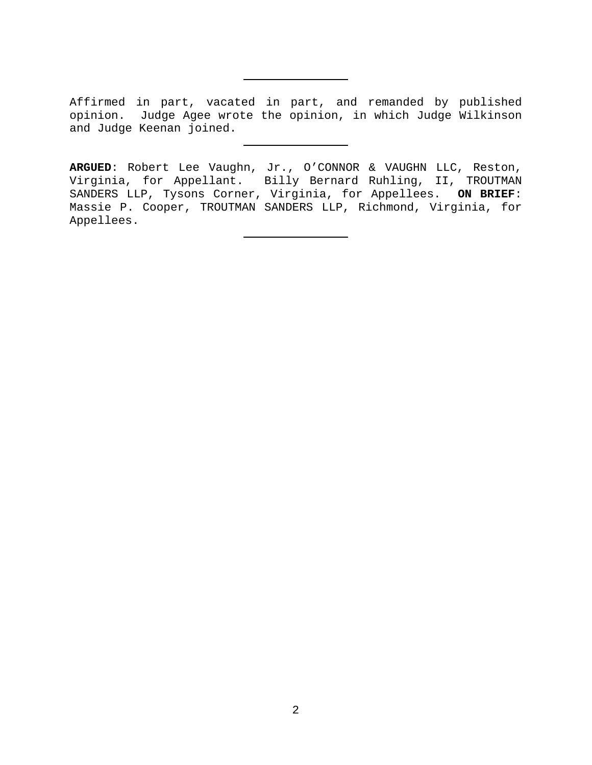Affirmed in part, vacated in part, and remanded by published opinion. Judge Agee wrote the opinion, in which Judge Wilkinson and Judge Keenan joined.

**ARGUED**: Robert Lee Vaughn, Jr., O'CONNOR & VAUGHN LLC, Reston, Virginia, for Appellant. Billy Bernard Ruhling, II, TROUTMAN SANDERS LLP, Tysons Corner, Virginia, for Appellees. **ON BRIEF**: Massie P. Cooper, TROUTMAN SANDERS LLP, Richmond, Virginia, for Appellees.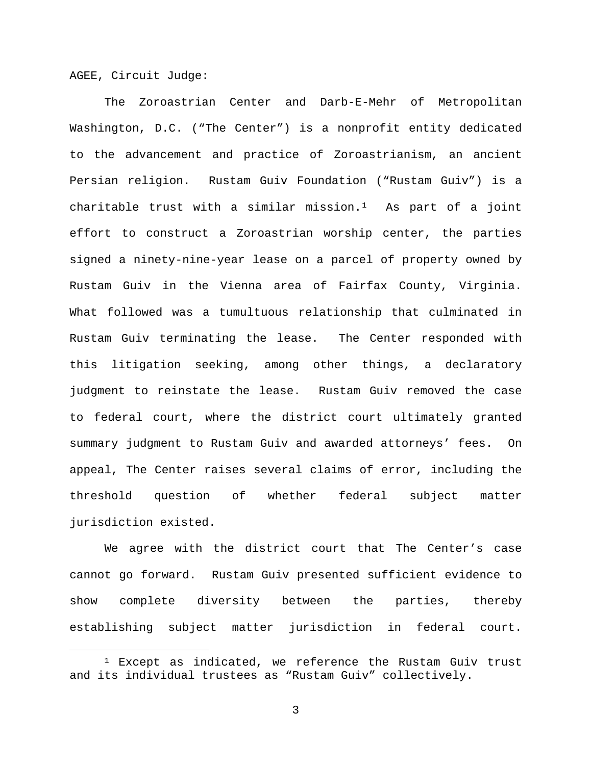AGEE, Circuit Judge:

The Zoroastrian Center and Darb-E-Mehr of Metropolitan Washington, D.C. ("The Center") is a nonprofit entity dedicated to the advancement and practice of Zoroastrianism, an ancient Persian religion. Rustam Guiv Foundation ("Rustam Guiv") is a charitable trust with a similar mission.<sup>[1](#page-2-0)</sup> As part of a joint effort to construct a Zoroastrian worship center, the parties signed a ninety-nine-year lease on a parcel of property owned by Rustam Guiv in the Vienna area of Fairfax County, Virginia. What followed was a tumultuous relationship that culminated in Rustam Guiv terminating the lease. The Center responded with this litigation seeking, among other things, a declaratory judgment to reinstate the lease. Rustam Guiv removed the case to federal court, where the district court ultimately granted summary judgment to Rustam Guiv and awarded attorneys' fees. On appeal, The Center raises several claims of error, including the threshold question of whether federal subject matter jurisdiction existed.

We agree with the district court that The Center's case cannot go forward. Rustam Guiv presented sufficient evidence to show complete diversity between the parties, thereby establishing subject matter jurisdiction in federal court.

<span id="page-2-0"></span> $1$  Except as indicated, we reference the Rustam Guiv trust and its individual trustees as "Rustam Guiv" collectively.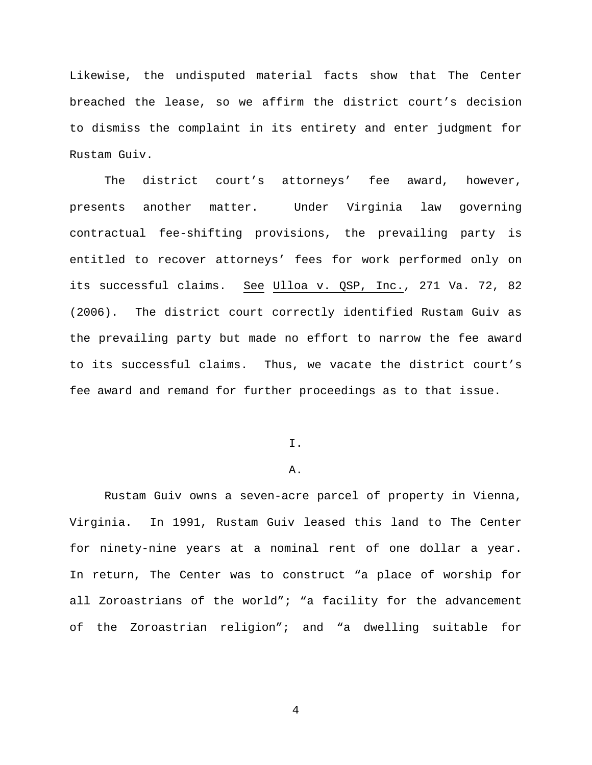Likewise, the undisputed material facts show that The Center breached the lease, so we affirm the district court's decision to dismiss the complaint in its entirety and enter judgment for Rustam Guiv.

The district court's attorneys' fee award, however, presents another matter. Under Virginia law governing contractual fee-shifting provisions, the prevailing party is entitled to recover attorneys' fees for work performed only on its successful claims. See Ulloa v. QSP, Inc., 271 Va. 72, 82 (2006). The district court correctly identified Rustam Guiv as the prevailing party but made no effort to narrow the fee award to its successful claims. Thus, we vacate the district court's fee award and remand for further proceedings as to that issue.

# I.

# A.

Rustam Guiv owns a seven-acre parcel of property in Vienna, Virginia. In 1991, Rustam Guiv leased this land to The Center for ninety-nine years at a nominal rent of one dollar a year. In return, The Center was to construct "a place of worship for all Zoroastrians of the world"; "a facility for the advancement of the Zoroastrian religion"; and "a dwelling suitable for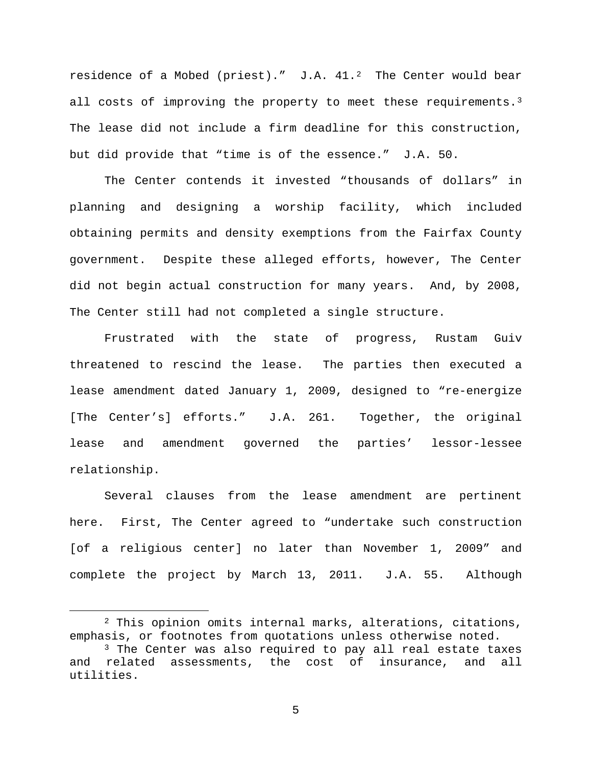residence of a Mobed (priest)."  $J.A. 41.^2$  The Center would bear all costs of improving the property to meet these requirements.<sup>[3](#page-4-1)</sup> The lease did not include a firm deadline for this construction, but did provide that "time is of the essence." J.A. 50.

The Center contends it invested "thousands of dollars" in planning and designing a worship facility, which included obtaining permits and density exemptions from the Fairfax County government. Despite these alleged efforts, however, The Center did not begin actual construction for many years. And, by 2008, The Center still had not completed a single structure.

Frustrated with the state of progress, Rustam Guiv threatened to rescind the lease. The parties then executed a lease amendment dated January 1, 2009, designed to "re-energize [The Center's] efforts." J.A. 261. Together, the original lease and amendment governed the parties' lessor-lessee relationship.

Several clauses from the lease amendment are pertinent here. First, The Center agreed to "undertake such construction [of a religious center] no later than November 1, 2009" and complete the project by March 13, 2011. J.A. 55. Although

<span id="page-4-0"></span> <sup>2</sup> This opinion omits internal marks, alterations, citations, emphasis, or footnotes from quotations unless otherwise noted. <sup>3</sup> The Center was also required to pay all real estate taxes

<span id="page-4-1"></span>and related assessments, the cost of insurance, and all utilities.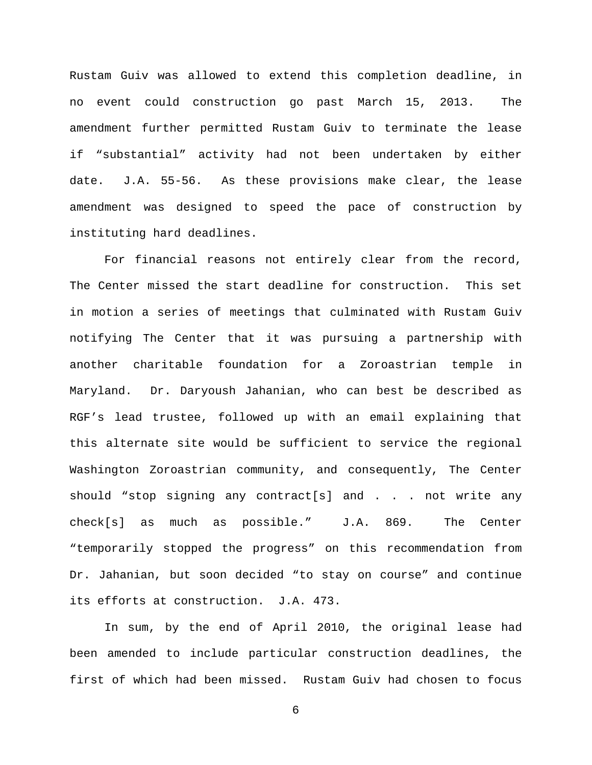Rustam Guiv was allowed to extend this completion deadline, in no event could construction go past March 15, 2013. The amendment further permitted Rustam Guiv to terminate the lease if "substantial" activity had not been undertaken by either date. J.A. 55-56. As these provisions make clear, the lease amendment was designed to speed the pace of construction by instituting hard deadlines.

For financial reasons not entirely clear from the record, The Center missed the start deadline for construction. This set in motion a series of meetings that culminated with Rustam Guiv notifying The Center that it was pursuing a partnership with another charitable foundation for a Zoroastrian temple in Maryland. Dr. Daryoush Jahanian, who can best be described as RGF's lead trustee, followed up with an email explaining that this alternate site would be sufficient to service the regional Washington Zoroastrian community, and consequently, The Center should "stop signing any contract[s] and . . . not write any check[s] as much as possible." J.A. 869. The Center "temporarily stopped the progress" on this recommendation from Dr. Jahanian, but soon decided "to stay on course" and continue its efforts at construction. J.A. 473.

In sum, by the end of April 2010, the original lease had been amended to include particular construction deadlines, the first of which had been missed. Rustam Guiv had chosen to focus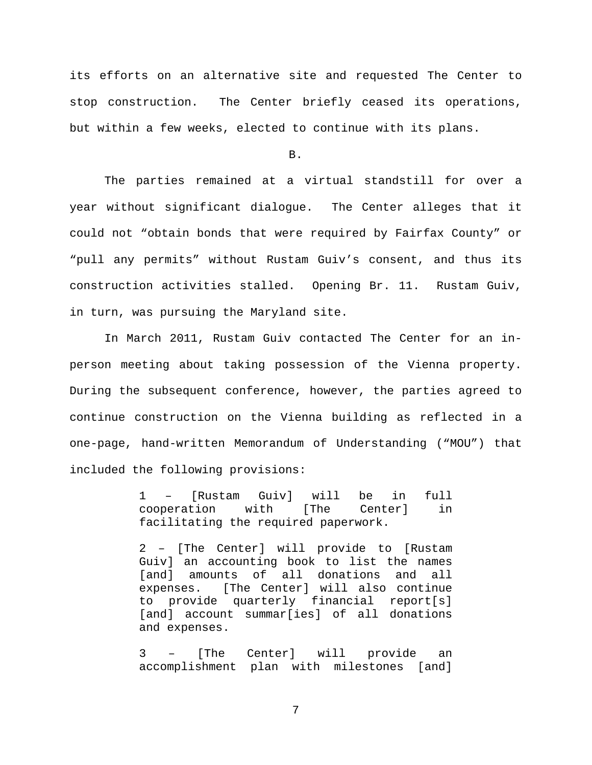its efforts on an alternative site and requested The Center to stop construction. The Center briefly ceased its operations, but within a few weeks, elected to continue with its plans.

B.

The parties remained at a virtual standstill for over a year without significant dialogue. The Center alleges that it could not "obtain bonds that were required by Fairfax County" or "pull any permits" without Rustam Guiv's consent, and thus its construction activities stalled. Opening Br. 11. Rustam Guiv, in turn, was pursuing the Maryland site.

In March 2011, Rustam Guiv contacted The Center for an inperson meeting about taking possession of the Vienna property. During the subsequent conference, however, the parties agreed to continue construction on the Vienna building as reflected in a one-page, hand-written Memorandum of Understanding ("MOU") that included the following provisions:

> 1 – [Rustam Guiv] will be in full cooperation facilitating the required paperwork.

> 2 – [The Center] will provide to [Rustam Guiv] an accounting book to list the names [and] amounts of all donations and all expenses. [The Center] will also continue to provide quarterly financial report[s] [and] account summar[ies] of all donations and expenses.

> 3 – [The Center] will provide an accomplishment plan with milestones [and]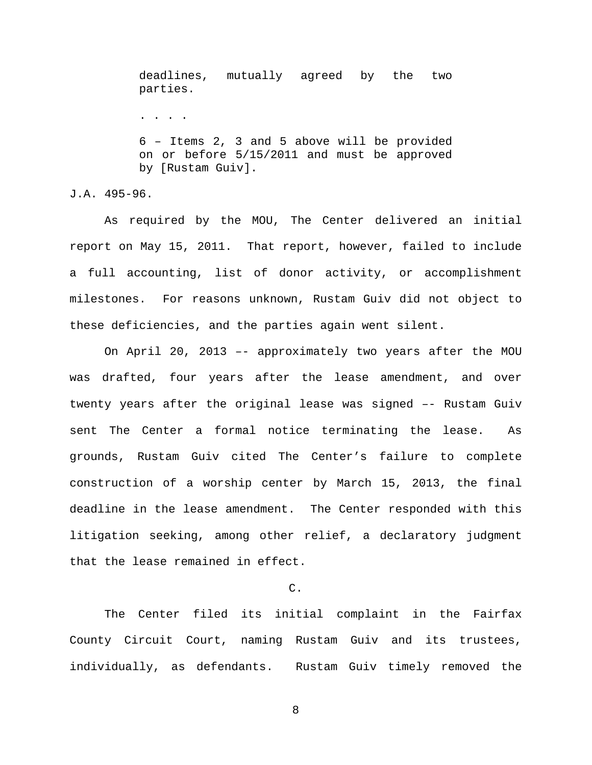deadlines, mutually agreed by the two parties. . . . . 6 – Items 2, 3 and 5 above will be provided on or before 5/15/2011 and must be approved by [Rustam Guiv].

J.A. 495-96.

As required by the MOU, The Center delivered an initial report on May 15, 2011. That report, however, failed to include a full accounting, list of donor activity, or accomplishment milestones. For reasons unknown, Rustam Guiv did not object to these deficiencies, and the parties again went silent.

On April 20, 2013 –- approximately two years after the MOU was drafted, four years after the lease amendment, and over twenty years after the original lease was signed –- Rustam Guiv sent The Center a formal notice terminating the lease. As grounds, Rustam Guiv cited The Center's failure to complete construction of a worship center by March 15, 2013, the final deadline in the lease amendment. The Center responded with this litigation seeking, among other relief, a declaratory judgment that the lease remained in effect.

C.

The Center filed its initial complaint in the Fairfax County Circuit Court, naming Rustam Guiv and its trustees, individually, as defendants. Rustam Guiv timely removed the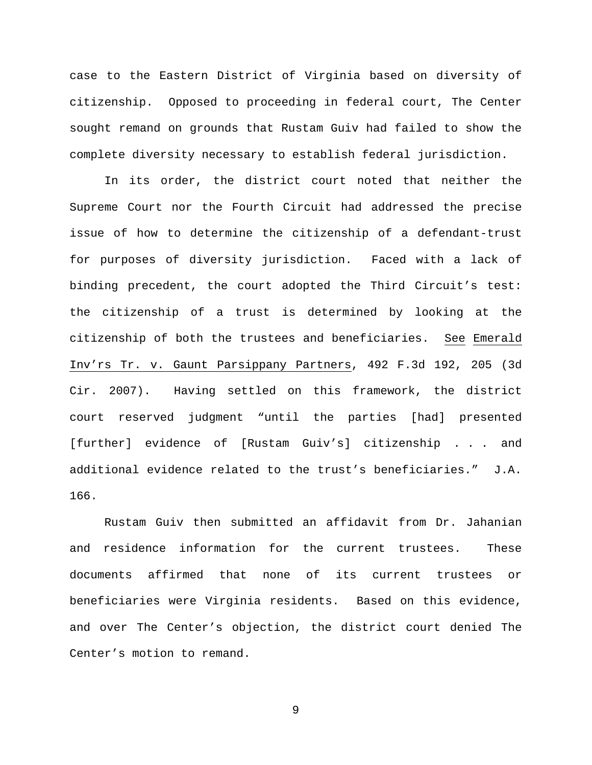case to the Eastern District of Virginia based on diversity of citizenship. Opposed to proceeding in federal court, The Center sought remand on grounds that Rustam Guiv had failed to show the complete diversity necessary to establish federal jurisdiction.

In its order, the district court noted that neither the Supreme Court nor the Fourth Circuit had addressed the precise issue of how to determine the citizenship of a defendant-trust for purposes of diversity jurisdiction. Faced with a lack of binding precedent, the court adopted the Third Circuit's test: the citizenship of a trust is determined by looking at the citizenship of both the trustees and beneficiaries. See Emerald Inv'rs Tr. v. Gaunt Parsippany Partners, 492 F.3d 192, 205 (3d Cir. 2007). Having settled on this framework, the district court reserved judgment "until the parties [had] presented [further] evidence of [Rustam Guiv's] citizenship . . . and additional evidence related to the trust's beneficiaries." J.A. 166.

Rustam Guiv then submitted an affidavit from Dr. Jahanian and residence information for the current trustees. These documents affirmed that none of its current trustees or beneficiaries were Virginia residents. Based on this evidence, and over The Center's objection, the district court denied The Center's motion to remand.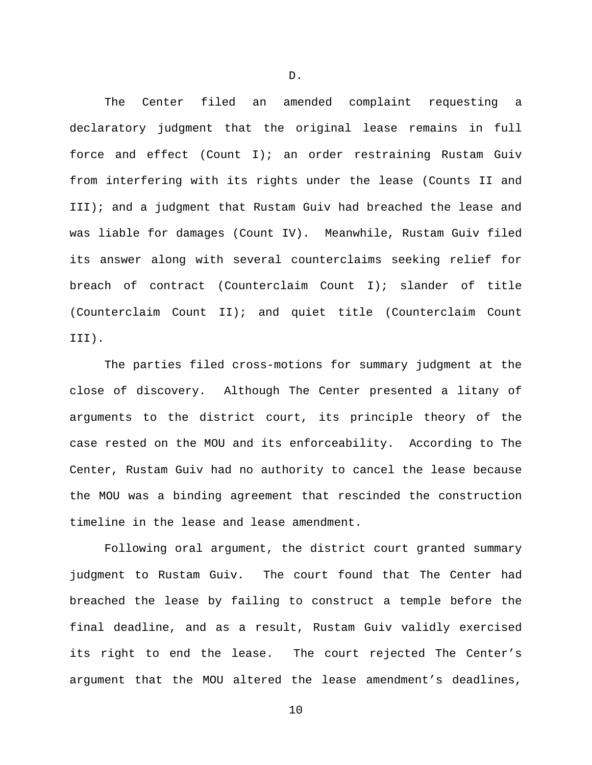The Center filed an amended complaint requesting a declaratory judgment that the original lease remains in full force and effect (Count I); an order restraining Rustam Guiv from interfering with its rights under the lease (Counts II and III); and a judgment that Rustam Guiv had breached the lease and was liable for damages (Count IV). Meanwhile, Rustam Guiv filed its answer along with several counterclaims seeking relief for breach of contract (Counterclaim Count I); slander of title (Counterclaim Count II); and quiet title (Counterclaim Count III).

The parties filed cross-motions for summary judgment at the close of discovery. Although The Center presented a litany of arguments to the district court, its principle theory of the case rested on the MOU and its enforceability. According to The Center, Rustam Guiv had no authority to cancel the lease because the MOU was a binding agreement that rescinded the construction timeline in the lease and lease amendment.

Following oral argument, the district court granted summary judgment to Rustam Guiv. The court found that The Center had breached the lease by failing to construct a temple before the final deadline, and as a result, Rustam Guiv validly exercised its right to end the lease. The court rejected The Center's argument that the MOU altered the lease amendment's deadlines,

10

D.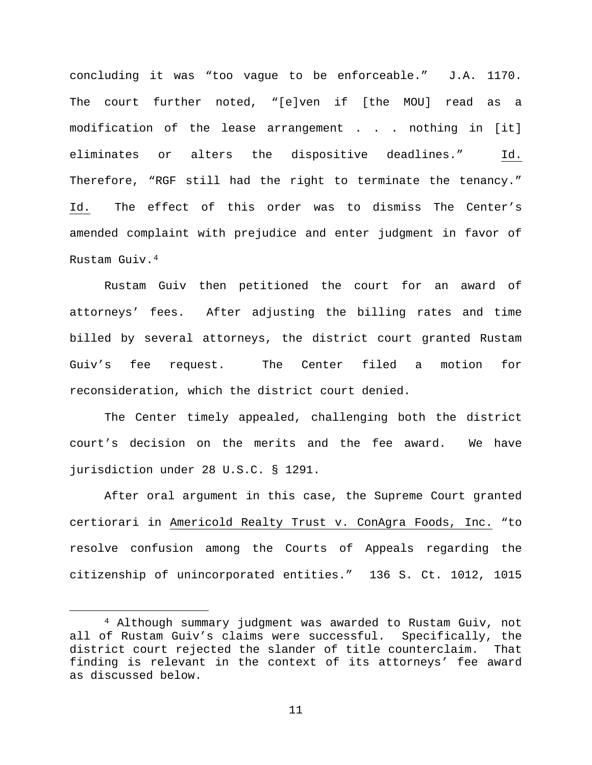concluding it was "too vague to be enforceable." J.A. 1170. The court further noted, "[e]ven if [the MOU] read as a modification of the lease arrangement . . . nothing in [it] eliminates or alters the dispositive deadlines." Id. Therefore, "RGF still had the right to terminate the tenancy." Id. The effect of this order was to dismiss The Center's amended complaint with prejudice and enter judgment in favor of Rustam Guiv.[4](#page-10-0)

Rustam Guiv then petitioned the court for an award of attorneys' fees. After adjusting the billing rates and time billed by several attorneys, the district court granted Rustam Guiv's fee request. The Center filed a motion for reconsideration, which the district court denied.

The Center timely appealed, challenging both the district court's decision on the merits and the fee award. We have jurisdiction under 28 U.S.C. § 1291.

After oral argument in this case, the Supreme Court granted certiorari in Americold Realty Trust v. ConAgra Foods, Inc. "to resolve confusion among the Courts of Appeals regarding the citizenship of unincorporated entities." 136 S. Ct. 1012, 1015

<span id="page-10-0"></span> <sup>4</sup> Although summary judgment was awarded to Rustam Guiv, not all of Rustam Guiv's claims were successful. Specifically, the district court rejected the slander of title counterclaim. That finding is relevant in the context of its attorneys' fee award as discussed below.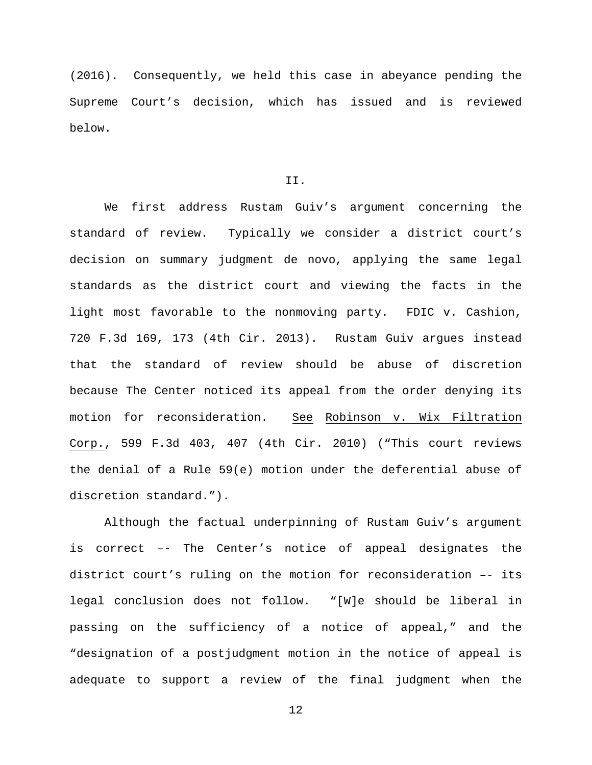(2016). Consequently, we held this case in abeyance pending the Supreme Court's decision, which has issued and is reviewed below.

# II.

We first address Rustam Guiv's argument concerning the standard of review. Typically we consider a district court's decision on summary judgment de novo, applying the same legal standards as the district court and viewing the facts in the light most favorable to the nonmoving party. FDIC v. Cashion, 720 F.3d 169, 173 (4th Cir. 2013). Rustam Guiv argues instead that the standard of review should be abuse of discretion because The Center noticed its appeal from the order denying its motion for reconsideration. See Robinson v. Wix Filtration Corp., 599 F.3d 403, 407 (4th Cir. 2010) ("This court reviews the denial of a Rule 59(e) motion under the deferential abuse of discretion standard.").

Although the factual underpinning of Rustam Guiv's argument is correct –- The Center's notice of appeal designates the district court's ruling on the motion for reconsideration –- its legal conclusion does not follow. "[W]e should be liberal in passing on the sufficiency of a notice of appeal," and the "designation of a postjudgment motion in the notice of appeal is adequate to support a review of the final judgment when the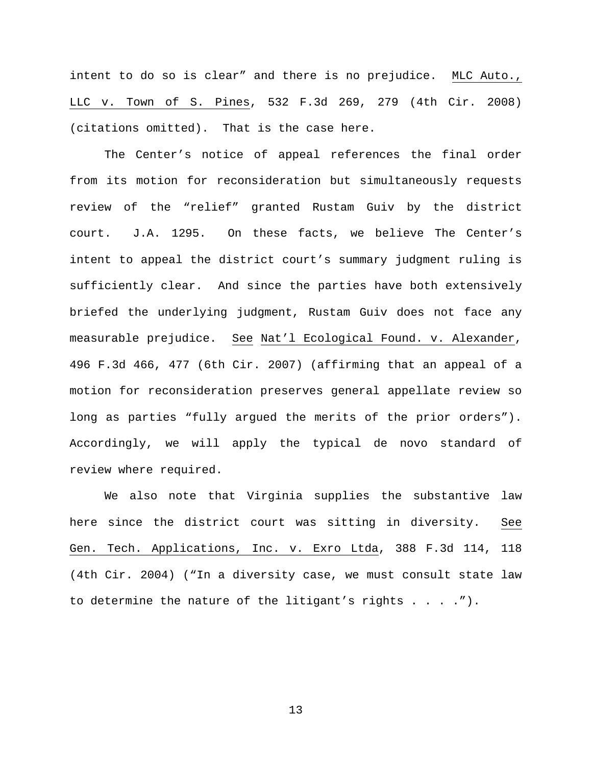intent to do so is clear" and there is no prejudice. MLC Auto., LLC v. Town of S. Pines, 532 F.3d 269, 279 (4th Cir. 2008) (citations omitted). That is the case here.

The Center's notice of appeal references the final order from its motion for reconsideration but simultaneously requests review of the "relief" granted Rustam Guiv by the district court. J.A. 1295. On these facts, we believe The Center's intent to appeal the district court's summary judgment ruling is sufficiently clear. And since the parties have both extensively briefed the underlying judgment, Rustam Guiv does not face any measurable prejudice. See Nat'l Ecological Found. v. Alexander, 496 F.3d 466, 477 (6th Cir. 2007) (affirming that an appeal of a motion for reconsideration preserves general appellate review so long as parties "fully argued the merits of the prior orders"). Accordingly, we will apply the typical de novo standard of review where required.

We also note that Virginia supplies the substantive law here since the district court was sitting in diversity. See Gen. Tech. Applications, Inc. v. Exro Ltda, 388 F.3d 114, 118 (4th Cir. 2004) ("In a diversity case, we must consult state law to determine the nature of the litigant's rights . . . .").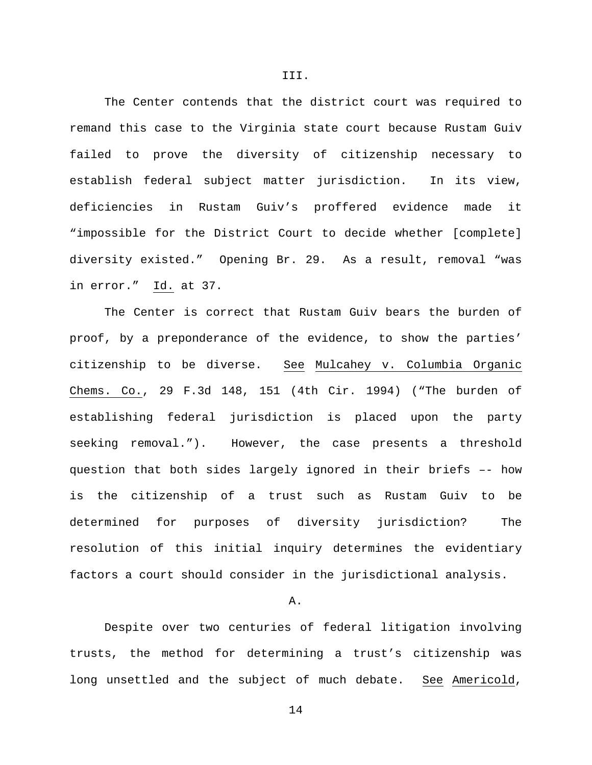The Center contends that the district court was required to remand this case to the Virginia state court because Rustam Guiv failed to prove the diversity of citizenship necessary to establish federal subject matter jurisdiction. In its view, deficiencies in Rustam Guiv's proffered evidence made it "impossible for the District Court to decide whether [complete] diversity existed." Opening Br. 29. As a result, removal "was in error." Id. at 37.

The Center is correct that Rustam Guiv bears the burden of proof, by a preponderance of the evidence, to show the parties' citizenship to be diverse. See Mulcahey v. Columbia Organic Chems. Co., 29 F.3d 148, 151 (4th Cir. 1994) ("The burden of establishing federal jurisdiction is placed upon the party seeking removal."). However, the case presents a threshold question that both sides largely ignored in their briefs –- how is the citizenship of a trust such as Rustam Guiv to be determined for purposes of diversity jurisdiction? The resolution of this initial inquiry determines the evidentiary factors a court should consider in the jurisdictional analysis.

A.

Despite over two centuries of federal litigation involving trusts, the method for determining a trust's citizenship was long unsettled and the subject of much debate. See Americold,

III.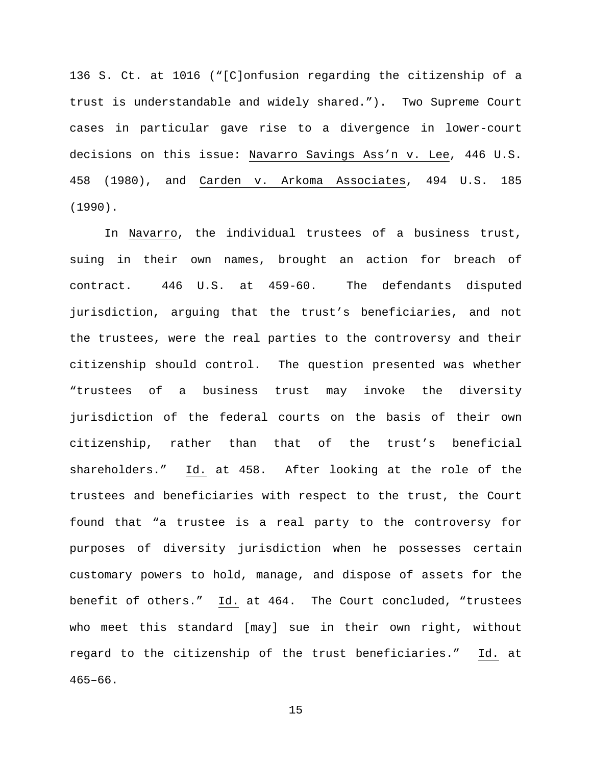136 S. Ct. at 1016 ("[C]onfusion regarding the citizenship of a trust is understandable and widely shared."). Two Supreme Court cases in particular gave rise to a divergence in lower-court decisions on this issue: Navarro Savings Ass'n v. Lee, 446 U.S. 458 (1980), and Carden v. Arkoma Associates, 494 U.S. 185 (1990).

In Navarro, the individual trustees of a business trust, suing in their own names, brought an action for breach of contract. 446 U.S. at 459-60. The defendants disputed jurisdiction, arguing that the trust's beneficiaries, and not the trustees, were the real parties to the controversy and their citizenship should control. The question presented was whether "trustees of a business trust may invoke the diversity jurisdiction of the federal courts on the basis of their own citizenship, rather than that of the trust's beneficial shareholders." Id. at 458. After looking at the role of the trustees and beneficiaries with respect to the trust, the Court found that "a trustee is a real party to the controversy for purposes of diversity jurisdiction when he possesses certain customary powers to hold, manage, and dispose of assets for the benefit of others." Id. at 464. The Court concluded, "trustees who meet this standard [may] sue in their own right, without regard to the citizenship of the trust beneficiaries." Id. at 465–66.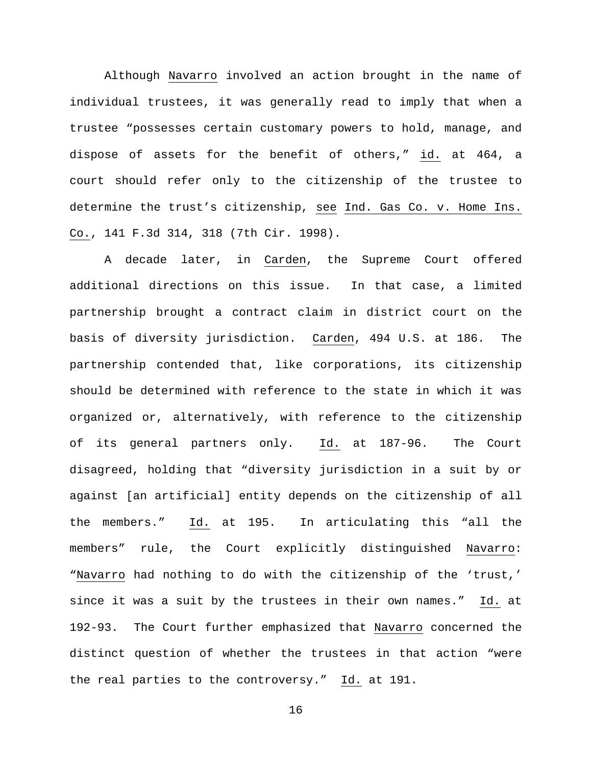Although Navarro involved an action brought in the name of individual trustees, it was generally read to imply that when a trustee "possesses certain customary powers to hold, manage, and dispose of assets for the benefit of others," id. at 464, a court should refer only to the citizenship of the trustee to determine the trust's citizenship, see Ind. Gas Co. v. Home Ins. Co., 141 F.3d 314, 318 (7th Cir. 1998).

A decade later, in Carden, the Supreme Court offered additional directions on this issue. In that case, a limited partnership brought a contract claim in district court on the basis of diversity jurisdiction. Carden, 494 U.S. at 186. The partnership contended that, like corporations, its citizenship should be determined with reference to the state in which it was organized or, alternatively, with reference to the citizenship of its general partners only. Id. at 187-96. The Court disagreed, holding that "diversity jurisdiction in a suit by or against [an artificial] entity depends on the citizenship of all the members." Id. at 195. In articulating this "all the members" rule, the Court explicitly distinguished Navarro: "Navarro had nothing to do with the citizenship of the 'trust,' since it was a suit by the trustees in their own names." Id. at 192-93. The Court further emphasized that Navarro concerned the distinct question of whether the trustees in that action "were the real parties to the controversy." Id. at 191.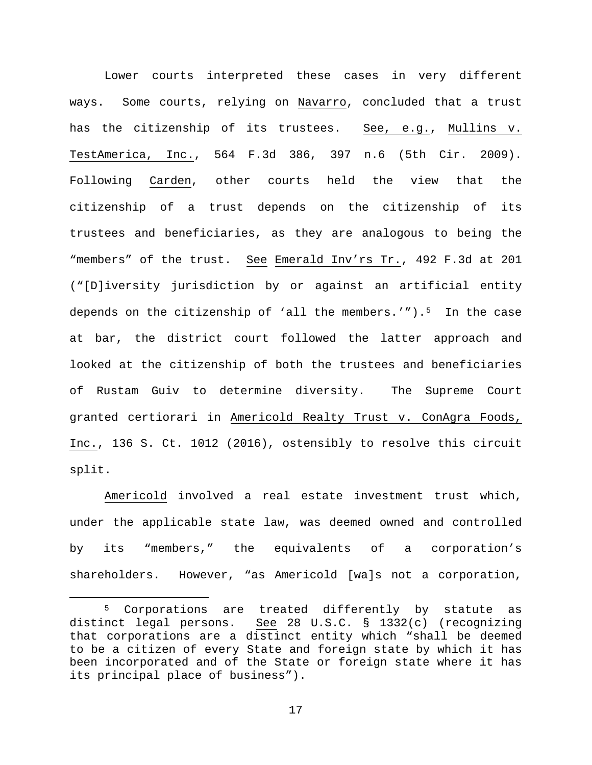Lower courts interpreted these cases in very different ways. Some courts, relying on Navarro, concluded that a trust has the citizenship of its trustees. See, e.g., Mullins v. TestAmerica, Inc., 564 F.3d 386, 397 n.6 (5th Cir. 2009). Following Carden, other courts held the view that the citizenship of a trust depends on the citizenship of its trustees and beneficiaries, as they are analogous to being the "members" of the trust. See Emerald Inv'rs Tr., 492 F.3d at 201 ("[D]iversity jurisdiction by or against an artificial entity depends on the citizenship of 'all the members.'").<sup>5</sup> In the case at bar, the district court followed the latter approach and looked at the citizenship of both the trustees and beneficiaries of Rustam Guiv to determine diversity. The Supreme Court granted certiorari in Americold Realty Trust v. ConAgra Foods, Inc., 136 S. Ct. 1012 (2016), ostensibly to resolve this circuit split.

Americold involved a real estate investment trust which, under the applicable state law, was deemed owned and controlled by its "members," the equivalents of a corporation's shareholders. However, "as Americold [wa]s not a corporation,

<span id="page-16-0"></span><sup>&</sup>lt;sup>5</sup> Corporations are treated differently by statute as distinct legal persons. See 28 U.S.C. § 1332(c) (recognizing See 28 U.S.C. § 1332(c) (recognizing that corporations are a distinct entity which "shall be deemed to be a citizen of every State and foreign state by which it has been incorporated and of the State or foreign state where it has its principal place of business").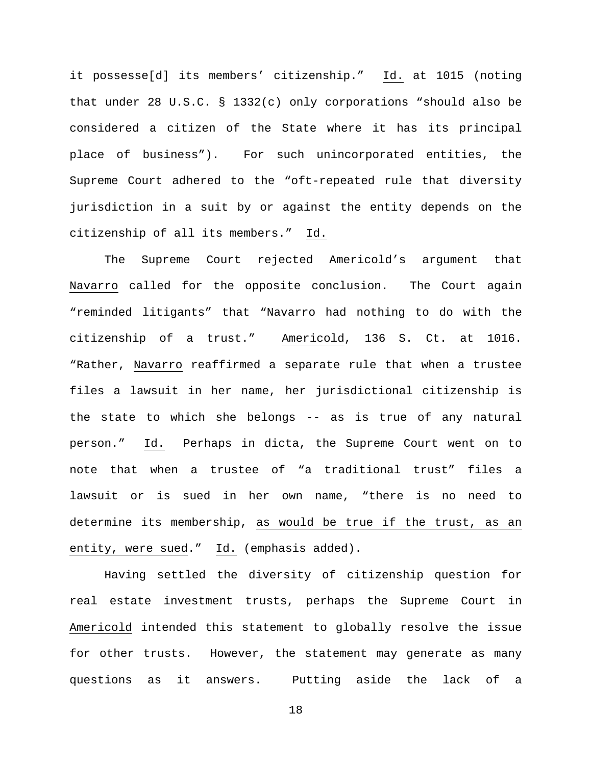it possesse[d] its members' citizenship." Id. at 1015 (noting that under 28 U.S.C. § 1332(c) only corporations "should also be considered a citizen of the State where it has its principal place of business"). For such unincorporated entities, the Supreme Court adhered to the "oft-repeated rule that diversity jurisdiction in a suit by or against the entity depends on the citizenship of all its members." Id.

The Supreme Court rejected Americold's argument that Navarro called for the opposite conclusion. The Court again "reminded litigants" that "Navarro had nothing to do with the citizenship of a trust." Americold, 136 S. Ct. at 1016. "Rather, Navarro reaffirmed a separate rule that when a trustee files a lawsuit in her name, her jurisdictional citizenship is the state to which she belongs -- as is true of any natural person." Id. Perhaps in dicta, the Supreme Court went on to note that when a trustee of "a traditional trust" files a lawsuit or is sued in her own name, "there is no need to determine its membership, as would be true if the trust, as an entity, were sued." Id. (emphasis added).

Having settled the diversity of citizenship question for real estate investment trusts, perhaps the Supreme Court in Americold intended this statement to globally resolve the issue for other trusts. However, the statement may generate as many questions as it answers. Putting aside the lack of a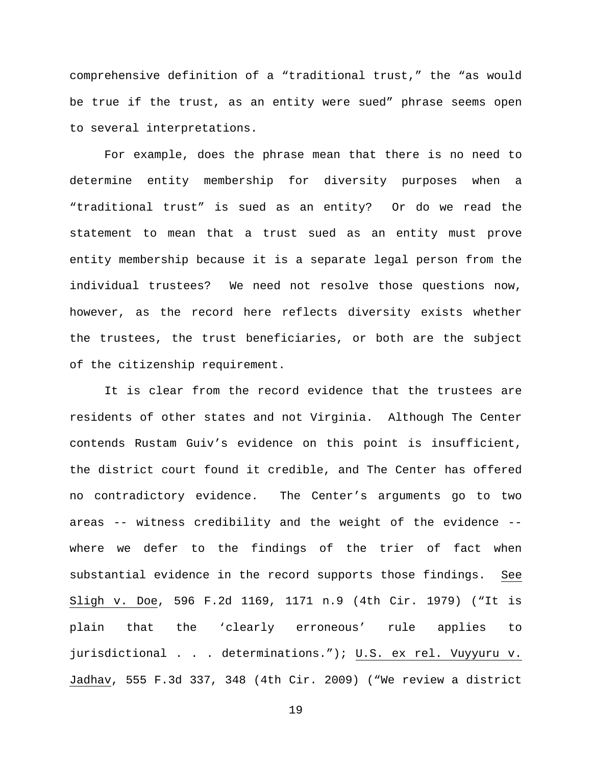comprehensive definition of a "traditional trust," the "as would be true if the trust, as an entity were sued" phrase seems open to several interpretations.

For example, does the phrase mean that there is no need to determine entity membership for diversity purposes when a "traditional trust" is sued as an entity? Or do we read the statement to mean that a trust sued as an entity must prove entity membership because it is a separate legal person from the individual trustees? We need not resolve those questions now, however, as the record here reflects diversity exists whether the trustees, the trust beneficiaries, or both are the subject of the citizenship requirement.

It is clear from the record evidence that the trustees are residents of other states and not Virginia. Although The Center contends Rustam Guiv's evidence on this point is insufficient, the district court found it credible, and The Center has offered no contradictory evidence. The Center's arguments go to two areas -- witness credibility and the weight of the evidence - where we defer to the findings of the trier of fact when substantial evidence in the record supports those findings. See Sligh v. Doe, 596 F.2d 1169, 1171 n.9 (4th Cir. 1979) ("It is plain that the 'clearly erroneous' rule applies to jurisdictional . . . determinations."); U.S. ex rel. Vuyyuru v. Jadhav, 555 F.3d 337, 348 (4th Cir. 2009) ("We review a district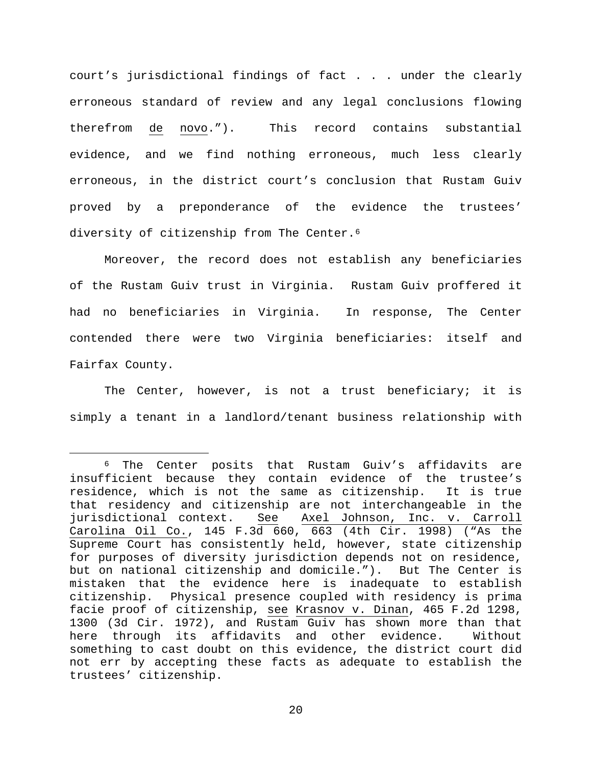court's jurisdictional findings of fact . . . under the clearly erroneous standard of review and any legal conclusions flowing therefrom de novo."). This record contains substantial evidence, and we find nothing erroneous, much less clearly erroneous, in the district court's conclusion that Rustam Guiv proved by a preponderance of the evidence the trustees' diversity of citizenship from The Center.<sup>[6](#page-19-0)</sup>

Moreover, the record does not establish any beneficiaries of the Rustam Guiv trust in Virginia. Rustam Guiv proffered it had no beneficiaries in Virginia. In response, The Center contended there were two Virginia beneficiaries: itself and Fairfax County.

The Center, however, is not a trust beneficiary; it is simply a tenant in a landlord/tenant business relationship with

<span id="page-19-0"></span> <sup>6</sup> The Center posits that Rustam Guiv's affidavits are insufficient because they contain evidence of the trustee's residence, which is not the same as citizenship. It is true that residency and citizenship are not interchangeable in the<br>jurisdictional context. See Axel Johnson, Inc. v. Carroll See Axel Johnson, Inc. v. Carroll Carolina Oil Co., 145 F.3d 660, 663 (4th Cir. 1998) ("As the Supreme Court has consistently held, however, state citizenship for purposes of diversity jurisdiction depends not on residence, but on national citizenship and domicile."). But The Center is mistaken that the evidence here is inadequate to establish citizenship. Physical presence coupled with residency is prima facie proof of citizenship, see Krasnov v. Dinan, 465 F.2d 1298, 1300 (3d Cir. 1972), and Rustam Guiv has shown more than that here through its affidavits and other evidence. something to cast doubt on this evidence, the district court did not err by accepting these facts as adequate to establish the trustees' citizenship.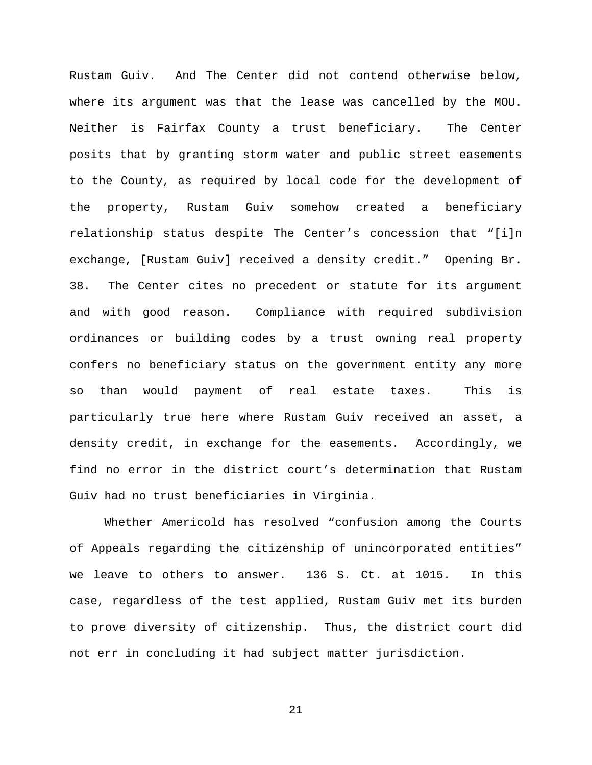Rustam Guiv. And The Center did not contend otherwise below, where its argument was that the lease was cancelled by the MOU. Neither is Fairfax County a trust beneficiary. The Center posits that by granting storm water and public street easements to the County, as required by local code for the development of the property, Rustam Guiv somehow created a beneficiary relationship status despite The Center's concession that "[i]n exchange, [Rustam Guiv] received a density credit." Opening Br. 38. The Center cites no precedent or statute for its argument and with good reason. Compliance with required subdivision ordinances or building codes by a trust owning real property confers no beneficiary status on the government entity any more so than would payment of real estate taxes. This is particularly true here where Rustam Guiv received an asset, a density credit, in exchange for the easements. Accordingly, we find no error in the district court's determination that Rustam Guiv had no trust beneficiaries in Virginia.

Whether Americold has resolved "confusion among the Courts of Appeals regarding the citizenship of unincorporated entities" we leave to others to answer. 136 S. Ct. at 1015. In this case, regardless of the test applied, Rustam Guiv met its burden to prove diversity of citizenship. Thus, the district court did not err in concluding it had subject matter jurisdiction.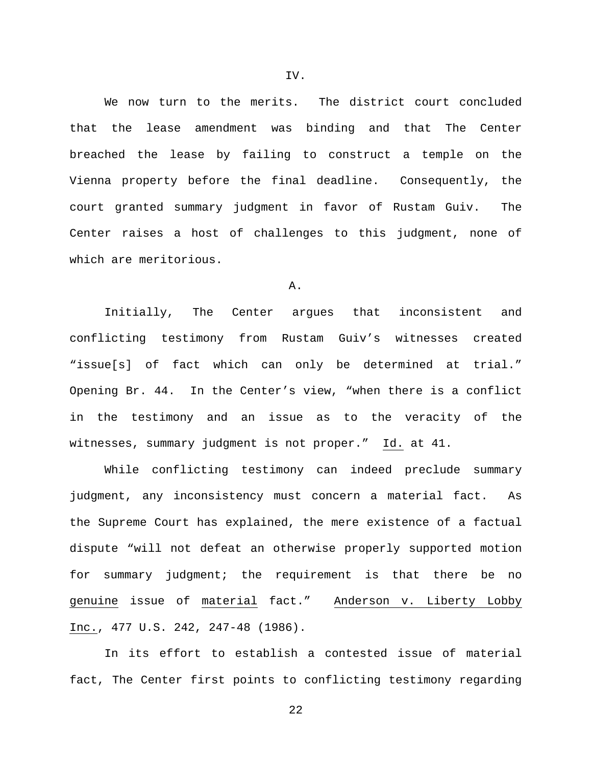We now turn to the merits. The district court concluded that the lease amendment was binding and that The Center breached the lease by failing to construct a temple on the Vienna property before the final deadline. Consequently, the court granted summary judgment in favor of Rustam Guiv. The Center raises a host of challenges to this judgment, none of which are meritorious.

### A.

Initially, The Center argues that inconsistent and conflicting testimony from Rustam Guiv's witnesses created "issue[s] of fact which can only be determined at trial." Opening Br. 44. In the Center's view, "when there is a conflict in the testimony and an issue as to the veracity of the witnesses, summary judgment is not proper." Id. at 41.

While conflicting testimony can indeed preclude summary judgment, any inconsistency must concern a material fact. As the Supreme Court has explained, the mere existence of a factual dispute "will not defeat an otherwise properly supported motion for summary judgment; the requirement is that there be no genuine issue of material fact." Anderson v. Liberty Lobby Inc., 477 U.S. 242, 247-48 (1986).

In its effort to establish a contested issue of material fact, The Center first points to conflicting testimony regarding

22

IV.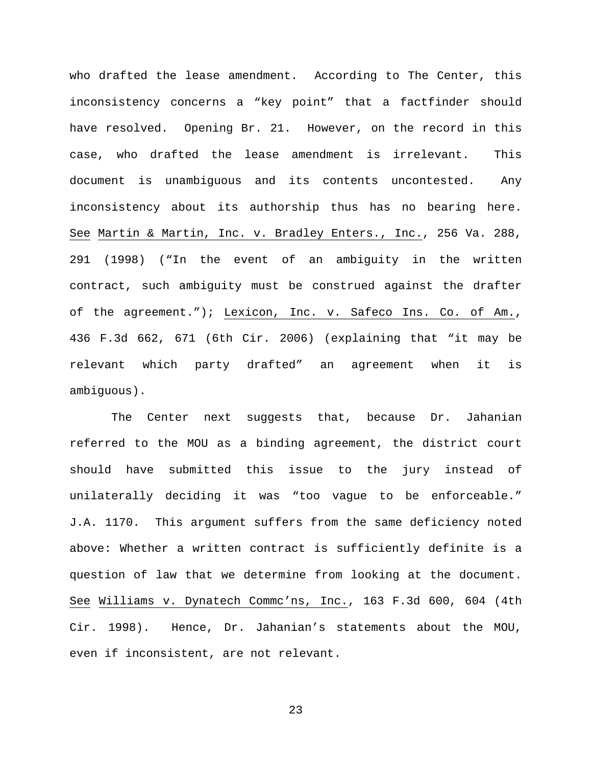who drafted the lease amendment. According to The Center, this inconsistency concerns a "key point" that a factfinder should have resolved. Opening Br. 21. However, on the record in this case, who drafted the lease amendment is irrelevant. This document is unambiguous and its contents uncontested. Any inconsistency about its authorship thus has no bearing here. See Martin & Martin, Inc. v. Bradley Enters., Inc., 256 Va. 288, 291 (1998) ("In the event of an ambiguity in the written contract, such ambiguity must be construed against the drafter of the agreement."); Lexicon, Inc. v. Safeco Ins. Co. of Am., 436 F.3d 662, 671 (6th Cir. 2006) (explaining that "it may be relevant which party drafted" an agreement when it is ambiguous).

The Center next suggests that, because Dr. Jahanian referred to the MOU as a binding agreement, the district court should have submitted this issue to the jury instead of unilaterally deciding it was "too vague to be enforceable." J.A. 1170. This argument suffers from the same deficiency noted above: Whether a written contract is sufficiently definite is a question of law that we determine from looking at the document. See Williams v. Dynatech Commc'ns, Inc., 163 F.3d 600, 604 (4th Cir. 1998). Hence, Dr. Jahanian's statements about the MOU, even if inconsistent, are not relevant.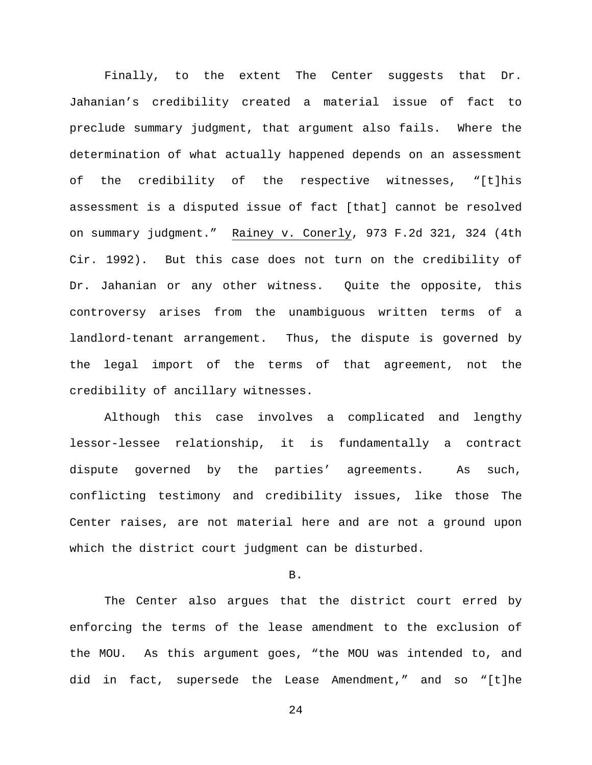Finally, to the extent The Center suggests that Dr. Jahanian's credibility created a material issue of fact to preclude summary judgment, that argument also fails. Where the determination of what actually happened depends on an assessment of the credibility of the respective witnesses, "[t]his assessment is a disputed issue of fact [that] cannot be resolved on summary judgment." Rainey v. Conerly, 973 F.2d 321, 324 (4th Cir. 1992). But this case does not turn on the credibility of Dr. Jahanian or any other witness. Quite the opposite, this controversy arises from the unambiguous written terms of a landlord-tenant arrangement. Thus, the dispute is governed by the legal import of the terms of that agreement, not the credibility of ancillary witnesses.

Although this case involves a complicated and lengthy lessor-lessee relationship, it is fundamentally a contract dispute governed by the parties' agreements. As such, conflicting testimony and credibility issues, like those The Center raises, are not material here and are not a ground upon which the district court judgment can be disturbed.

B.

The Center also argues that the district court erred by enforcing the terms of the lease amendment to the exclusion of the MOU. As this argument goes, "the MOU was intended to, and did in fact, supersede the Lease Amendment," and so "[t]he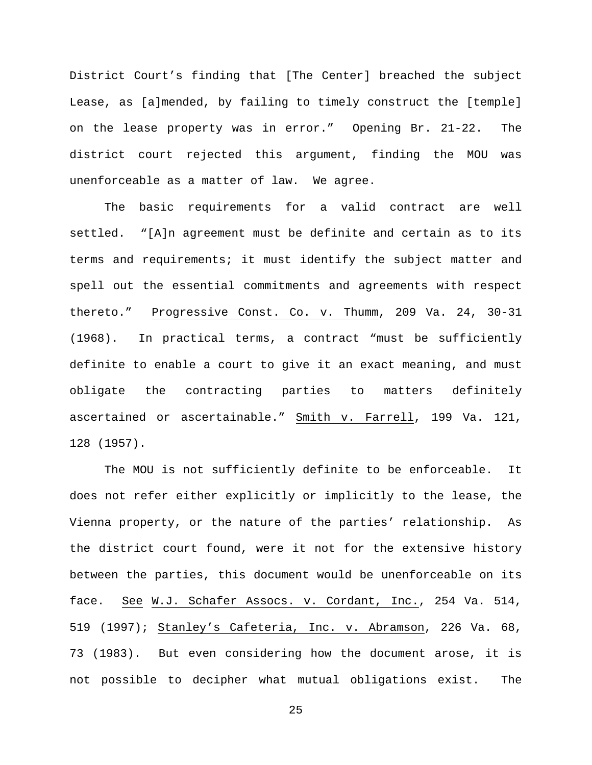District Court's finding that [The Center] breached the subject Lease, as [a]mended, by failing to timely construct the [temple] on the lease property was in error." Opening Br. 21-22. The district court rejected this argument, finding the MOU was unenforceable as a matter of law. We agree.

The basic requirements for a valid contract are well settled. "[A]n agreement must be definite and certain as to its terms and requirements; it must identify the subject matter and spell out the essential commitments and agreements with respect thereto." Progressive Const. Co. v. Thumm, 209 Va. 24, 30-31 (1968). In practical terms, a contract "must be sufficiently definite to enable a court to give it an exact meaning, and must obligate the contracting parties to matters definitely ascertained or ascertainable." Smith v. Farrell, 199 Va. 121, 128 (1957).

The MOU is not sufficiently definite to be enforceable. It does not refer either explicitly or implicitly to the lease, the Vienna property, or the nature of the parties' relationship. As the district court found, were it not for the extensive history between the parties, this document would be unenforceable on its face. See W.J. Schafer Assocs. v. Cordant, Inc., 254 Va. 514, 519 (1997); Stanley's Cafeteria, Inc. v. Abramson, 226 Va. 68, 73 (1983). But even considering how the document arose, it is not possible to decipher what mutual obligations exist. The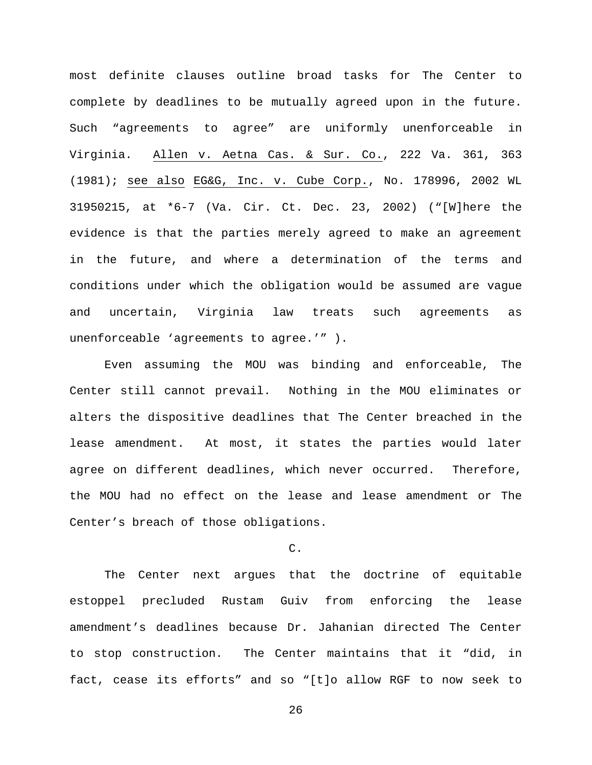most definite clauses outline broad tasks for The Center to complete by deadlines to be mutually agreed upon in the future. Such "agreements to agree" are uniformly unenforceable in Virginia. Allen v. Aetna Cas. & Sur. Co., 222 Va. 361, 363 (1981); see also EG&G, Inc. v. Cube Corp., No. 178996, 2002 WL 31950215, at \*6-7 (Va. Cir. Ct. Dec. 23, 2002) ("[W]here the evidence is that the parties merely agreed to make an agreement in the future, and where a determination of the terms and conditions under which the obligation would be assumed are vague and uncertain, Virginia law treats such agreements as unenforceable 'agreements to agree.'" ).

Even assuming the MOU was binding and enforceable, The Center still cannot prevail. Nothing in the MOU eliminates or alters the dispositive deadlines that The Center breached in the lease amendment. At most, it states the parties would later agree on different deadlines, which never occurred. Therefore, the MOU had no effect on the lease and lease amendment or The Center's breach of those obligations.

# C.

The Center next argues that the doctrine of equitable estoppel precluded Rustam Guiv from enforcing the lease amendment's deadlines because Dr. Jahanian directed The Center to stop construction. The Center maintains that it "did, in fact, cease its efforts" and so "[t]o allow RGF to now seek to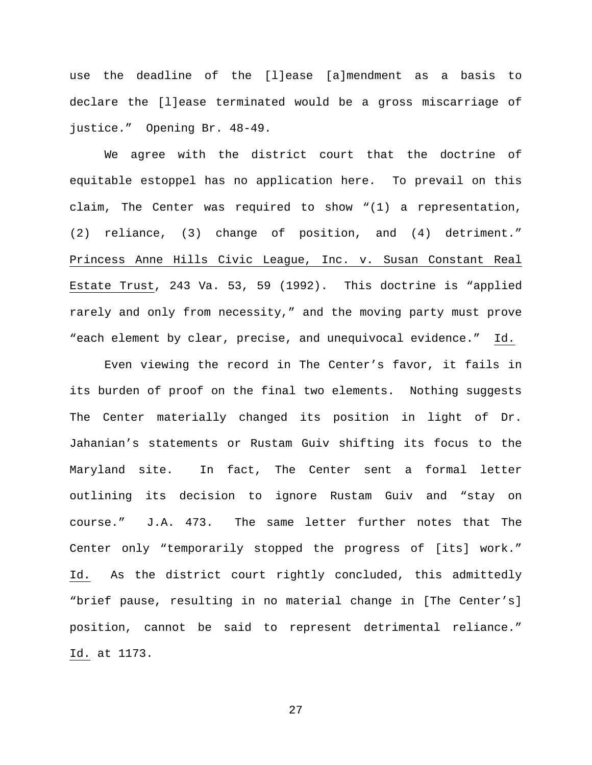use the deadline of the [l]ease [a]mendment as a basis to declare the [l]ease terminated would be a gross miscarriage of justice." Opening Br. 48-49.

We agree with the district court that the doctrine of equitable estoppel has no application here. To prevail on this claim, The Center was required to show "(1) a representation, (2) reliance, (3) change of position, and (4) detriment." Princess Anne Hills Civic League, Inc. v. Susan Constant Real Estate Trust, 243 Va. 53, 59 (1992). This doctrine is "applied rarely and only from necessity," and the moving party must prove "each element by clear, precise, and unequivocal evidence." Id.

Even viewing the record in The Center's favor, it fails in its burden of proof on the final two elements. Nothing suggests The Center materially changed its position in light of Dr. Jahanian's statements or Rustam Guiv shifting its focus to the Maryland site. In fact, The Center sent a formal letter outlining its decision to ignore Rustam Guiv and "stay on course." J.A. 473. The same letter further notes that The Center only "temporarily stopped the progress of [its] work." Id. As the district court rightly concluded, this admittedly "brief pause, resulting in no material change in [The Center's] position, cannot be said to represent detrimental reliance." Id. at 1173.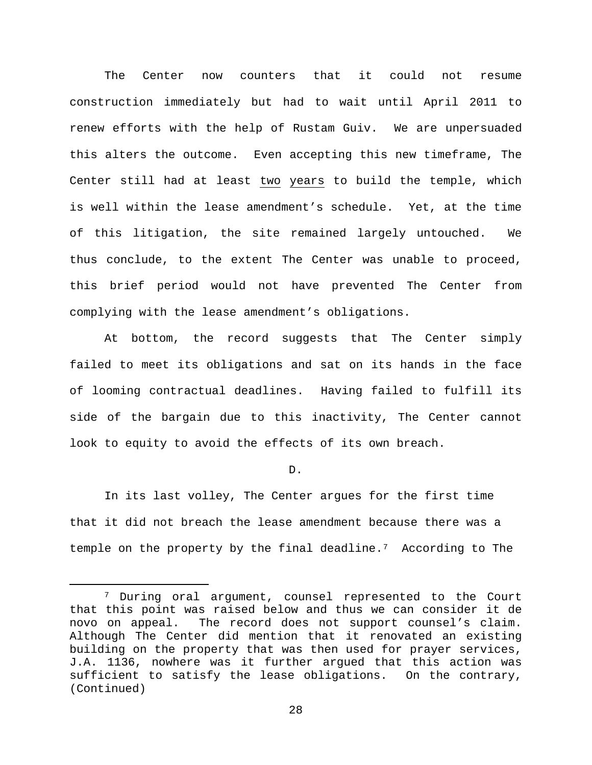The Center now counters that it could not resume construction immediately but had to wait until April 2011 to renew efforts with the help of Rustam Guiv. We are unpersuaded this alters the outcome. Even accepting this new timeframe, The Center still had at least two years to build the temple, which is well within the lease amendment's schedule. Yet, at the time of this litigation, the site remained largely untouched. We thus conclude, to the extent The Center was unable to proceed, this brief period would not have prevented The Center from complying with the lease amendment's obligations.

At bottom, the record suggests that The Center simply failed to meet its obligations and sat on its hands in the face of looming contractual deadlines. Having failed to fulfill its side of the bargain due to this inactivity, The Center cannot look to equity to avoid the effects of its own breach.

D.

In its last volley, The Center argues for the first time that it did not breach the lease amendment because there was a temple on the property by the final deadline[.7](#page-27-0) According to The

<span id="page-27-0"></span> <sup>7</sup> During oral argument, counsel represented to the Court that this point was raised below and thus we can consider it de novo on appeal. The record does not support counsel's claim. The record does not support counsel's claim. Although The Center did mention that it renovated an existing building on the property that was then used for prayer services, J.A. 1136, nowhere was it further argued that this action was sufficient to satisfy the lease obligations. On the contrary, (Continued)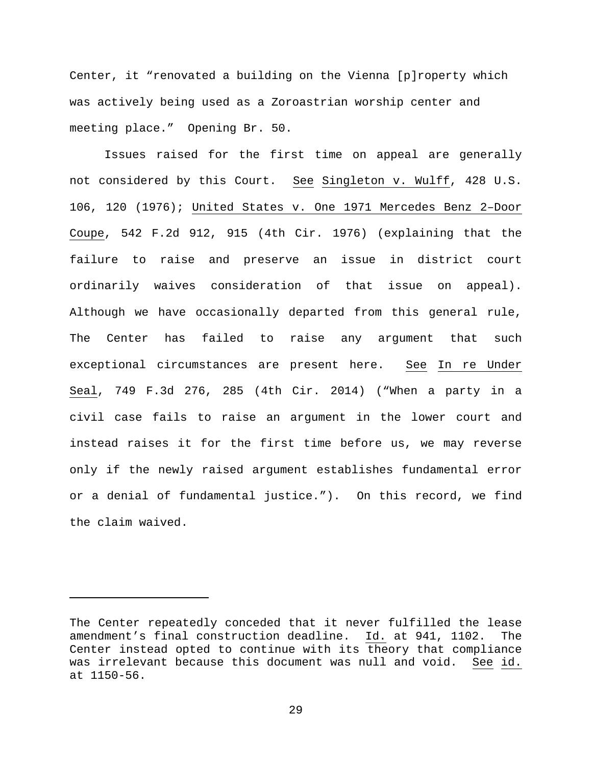Center, it "renovated a building on the Vienna [p]roperty which was actively being used as a Zoroastrian worship center and meeting place." Opening Br. 50.

Issues raised for the first time on appeal are generally not considered by this Court. See Singleton v. Wulff, 428 U.S. 106, 120 (1976); United States v. One 1971 Mercedes Benz 2–Door Coupe, 542 F.2d 912, 915 (4th Cir. 1976) (explaining that the failure to raise and preserve an issue in district court ordinarily waives consideration of that issue on appeal). Although we have occasionally departed from this general rule, The Center has failed to raise any argument that such exceptional circumstances are present here. See In re Under Seal, 749 F.3d 276, 285 (4th Cir. 2014) ("When a party in a civil case fails to raise an argument in the lower court and instead raises it for the first time before us, we may reverse only if the newly raised argument establishes fundamental error or a denial of fundamental justice."). On this record, we find the claim waived.

Ĩ.

The Center repeatedly conceded that it never fulfilled the lease amendment's final construction deadline. Id. at 941, 1102. The Center instead opted to continue with its theory that compliance was irrelevant because this document was null and void. See id. at 1150-56.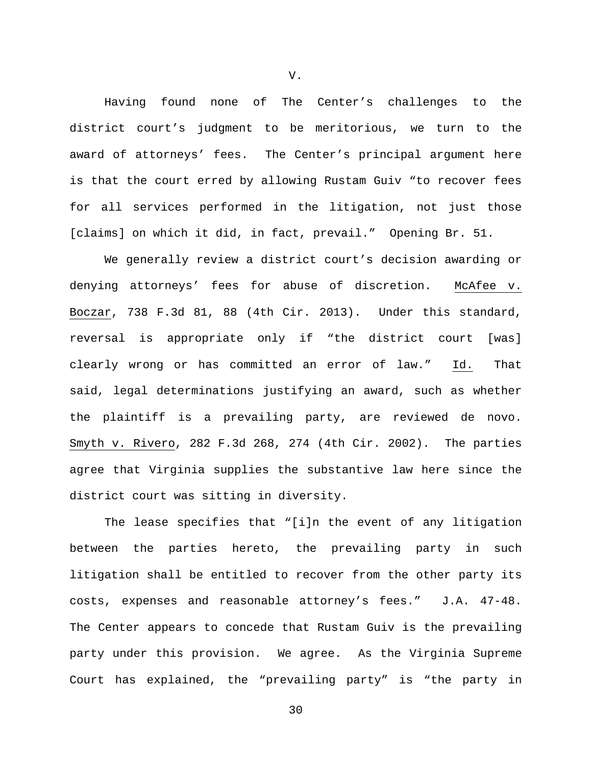Having found none of The Center's challenges to the district court's judgment to be meritorious, we turn to the award of attorneys' fees. The Center's principal argument here is that the court erred by allowing Rustam Guiv "to recover fees for all services performed in the litigation, not just those [claims] on which it did, in fact, prevail." Opening Br. 51.

We generally review a district court's decision awarding or denying attorneys' fees for abuse of discretion. McAfee v. Boczar, 738 F.3d 81, 88 (4th Cir. 2013). Under this standard, reversal is appropriate only if "the district court [was] clearly wrong or has committed an error of law." Id. That said, legal determinations justifying an award, such as whether the plaintiff is a prevailing party, are reviewed de novo. Smyth v. Rivero, 282 F.3d 268, 274 (4th Cir. 2002). The parties agree that Virginia supplies the substantive law here since the district court was sitting in diversity.

The lease specifies that "[i]n the event of any litigation between the parties hereto, the prevailing party in such litigation shall be entitled to recover from the other party its costs, expenses and reasonable attorney's fees." J.A. 47-48. The Center appears to concede that Rustam Guiv is the prevailing party under this provision. We agree. As the Virginia Supreme Court has explained, the "prevailing party" is "the party in

V.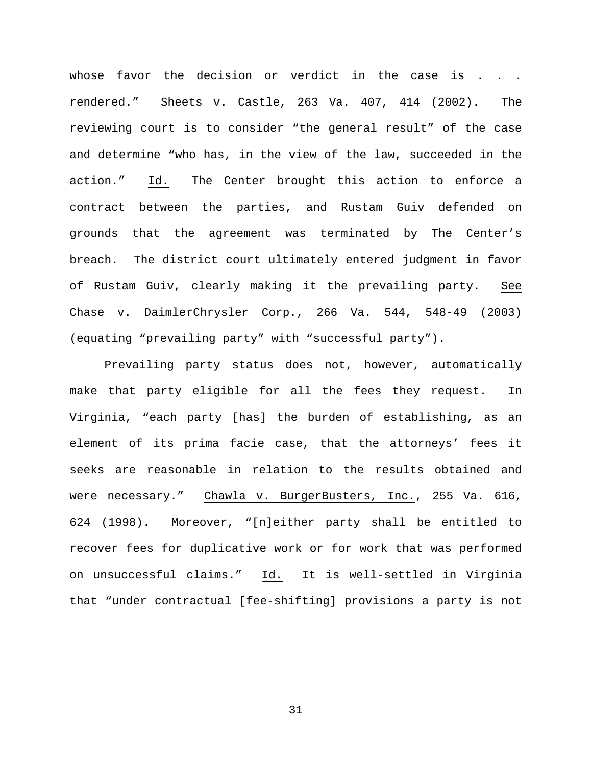whose favor the decision or verdict in the case is . . . rendered." Sheets v. Castle, 263 Va. 407, 414 (2002). The reviewing court is to consider "the general result" of the case and determine "who has, in the view of the law, succeeded in the action." Id. The Center brought this action to enforce a contract between the parties, and Rustam Guiv defended on grounds that the agreement was terminated by The Center's breach. The district court ultimately entered judgment in favor of Rustam Guiv, clearly making it the prevailing party. See Chase v. DaimlerChrysler Corp., 266 Va. 544, 548-49 (2003) (equating "prevailing party" with "successful party").

Prevailing party status does not, however, automatically make that party eligible for all the fees they request. In Virginia, "each party [has] the burden of establishing, as an element of its prima facie case, that the attorneys' fees it seeks are reasonable in relation to the results obtained and were necessary." Chawla v. BurgerBusters, Inc., 255 Va. 616, 624 (1998). Moreover, "[n]either party shall be entitled to recover fees for duplicative work or for work that was performed on unsuccessful claims." Id. It is well-settled in Virginia that "under contractual [fee-shifting] provisions a party is not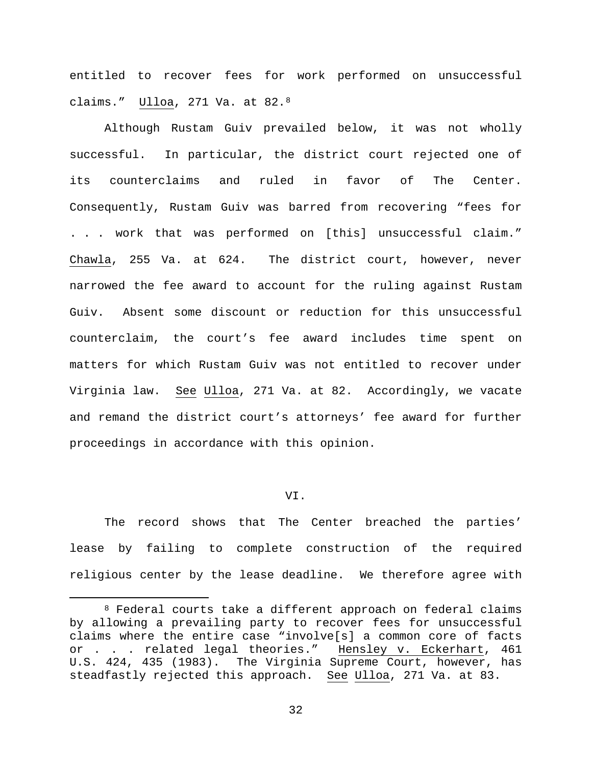entitled to recover fees for work performed on unsuccessful claims." Ulloa, 271 Va. at 82.[8](#page-31-0) 

Although Rustam Guiv prevailed below, it was not wholly successful. In particular, the district court rejected one of its counterclaims and ruled in favor of The Center. Consequently, Rustam Guiv was barred from recovering "fees for . . . work that was performed on [this] unsuccessful claim." Chawla, 255 Va. at 624. The district court, however, never narrowed the fee award to account for the ruling against Rustam Guiv. Absent some discount or reduction for this unsuccessful counterclaim, the court's fee award includes time spent on matters for which Rustam Guiv was not entitled to recover under Virginia law. See Ulloa, 271 Va. at 82. Accordingly, we vacate and remand the district court's attorneys' fee award for further proceedings in accordance with this opinion.

### VI.

The record shows that The Center breached the parties' lease by failing to complete construction of the required religious center by the lease deadline. We therefore agree with

<span id="page-31-0"></span> <sup>8</sup> Federal courts take a different approach on federal claims by allowing a prevailing party to recover fees for unsuccessful claims where the entire case "involve[s] a common core of facts or . . . related legal theories." Hensley v. Eckerhart, 461 U.S. 424, 435 (1983). The Virginia Supreme Court, however, has steadfastly rejected this approach. See Ulloa, 271 Va. at 83.